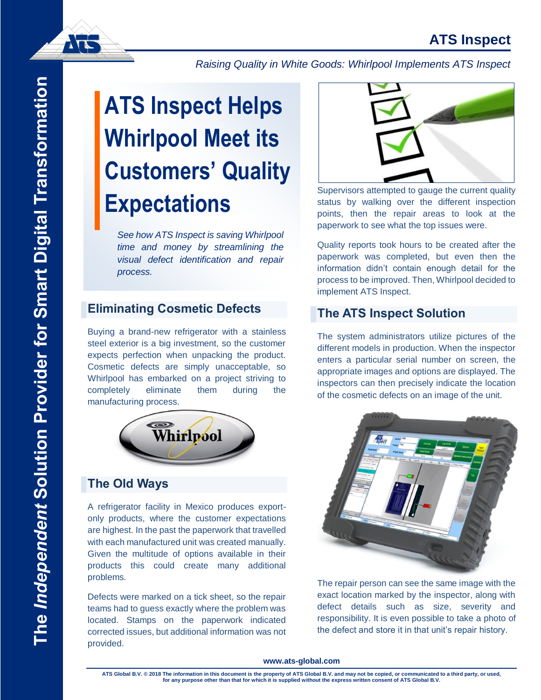# **ATS Inspect**



*Raising Quality in White Goods: Whirlpool Implements ATS Inspect*

# The Independent Solution Provider for Smart Digital Transformation **The** *Independent* **Solution Provider for Smart Digital Transformation**

# **ATS Inspect Helps Whirlpool Meet its Customers' Quality Expectations**

*See how ATS Inspect is saving Whirlpool time and money by streamlining the visual defect identification and repair process.*

# **Eliminating Cosmetic Defects**

Buying a brand-new refrigerator with a stainless steel exterior is a big investment, so the customer expects perfection when unpacking the product. Cosmetic defects are simply unacceptable, so Whirlpool has embarked on a project striving to completely eliminate them during the manufacturing process.



# **The Old Ways**

A refrigerator facility in Mexico produces exportonly products, where the customer expectations are highest. In the past the paperwork that travelled with each manufactured unit was created manually. Given the multitude of options available in their products this could create many additional problems.

Defects were marked on a tick sheet, so the repair teams had to guess exactly where the problem was located. Stamps on the paperwork indicated corrected issues, but additional information was not provided.



Supervisors attempted to gauge the current quality status by walking over the different inspection points, then the repair areas to look at the paperwork to see what the top issues were.

Quality reports took hours to be created after the paperwork was completed, but even then the information didn't contain enough detail for the process to be improved. Then, Whirlpool decided to implement ATS Inspect.

# **The ATS Inspect Solution**

The system administrators utilize pictures of the different models in production. When the inspector enters a particular serial number on screen, the appropriate images and options are displayed. The inspectors can then precisely indicate the location of the cosmetic defects on an image of the unit.



The repair person can see the same image with the exact location marked by the inspector, along with defect details such as size, severity and responsibility. It is even possible to take a photo of the defect and store it in that unit's repair history.

#### **www.ats-global.com**

**ATS Global B.V. © 2018 The information in this document is the property of ATS Global B.V. and may not be copied, or communicated to a third party, or used, for any purpose other than that for which it is supplied without the express written consent of ATS Global B.V.**